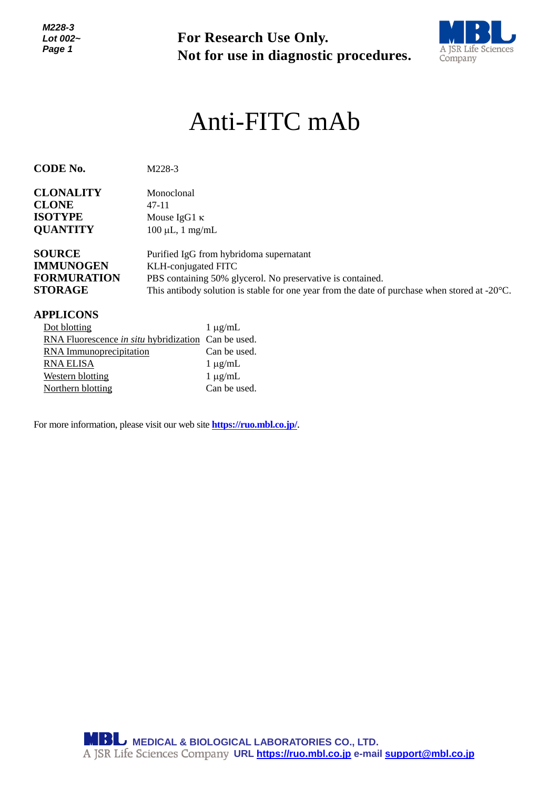

# *<sup>1</sup>* Anti-FITC mAb

| For Research Use Only.<br>Not for use in diagnostic procedures.                                                                                                                                                                                          | A JSR Life Sciences<br>Company                                                 |  |
|----------------------------------------------------------------------------------------------------------------------------------------------------------------------------------------------------------------------------------------------------------|--------------------------------------------------------------------------------|--|
| Anti-FITC mAb                                                                                                                                                                                                                                            |                                                                                |  |
| M228-3                                                                                                                                                                                                                                                   |                                                                                |  |
| Monoclonal<br>$47 - 11$<br>Mouse IgG1 $\kappa$<br>$100 \mu L$ , 1 mg/mL                                                                                                                                                                                  |                                                                                |  |
| Purified IgG from hybridoma supernatant<br>KLH-conjugated FITC<br>PBS containing 50% glycerol. No preservative is contained.<br>This antibody solution is stable for one year from the date of purchase when stored at $-20^{\circ}$ C.                  |                                                                                |  |
| $1 \mu g/mL$<br>RNA Fluorescence in situ hybridization Can be used.<br>Can be used.<br><b>RNA</b> Immunoprecipitation<br>$1 \mu g/mL$<br>$1 \mu g/mL$<br>Can be used.<br>For more information, please visit our web site <b>https://ruo.mbl.co.jp/</b> . |                                                                                |  |
| <b>MBL</b> MEDICAL & BIOLOGICAL LABORATORIES CO., LTD.                                                                                                                                                                                                   |                                                                                |  |
|                                                                                                                                                                                                                                                          | A JSR Life Sciences Company URL https://ruo.mbl.co.jp e-mail support@mbl.co.jp |  |

#### **APPLICONS**

| Dot blotting                                        | $1 \mu g/mL$ |
|-----------------------------------------------------|--------------|
| RNA Fluorescence in situ hybridization Can be used. |              |
| RNA Immunoprecipitation                             | Can be used. |
| RNA ELISA                                           | $1 \mu g/mL$ |
| <b>Western blotting</b>                             | $1 \mu g/mL$ |
| Northern blotting                                   | Can be used. |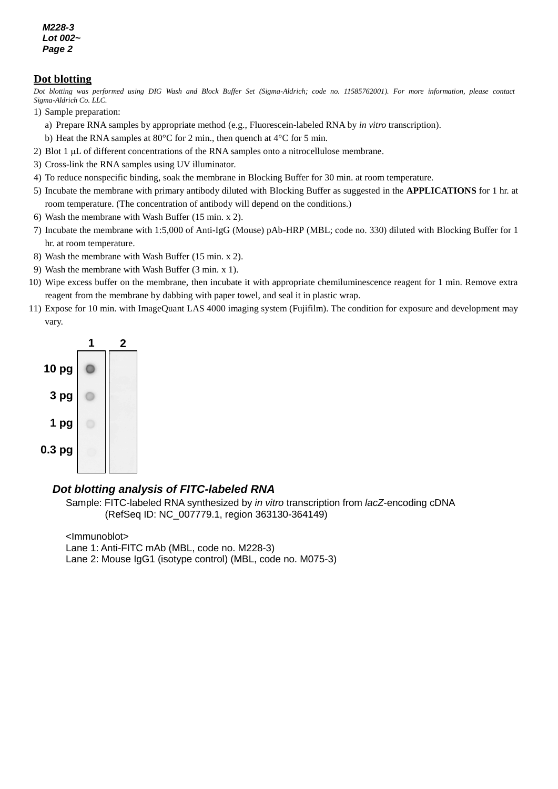#### **Dot blotting**

*e Dot blotting was performed using DIG Wash and Block Buffer Set (Sigma-Aldrich; code no. 11585762001). For more information, please contact Sigma-Aldrich Co. LLC.*

- 1) Sample preparation:
	- a) Prepare RNA samples by appropriate method (e.g., Fluorescein-labeled RNA by *in vitro* transcription).
	- b) Heat the RNA samples at 80°C for 2 min., then quench at 4°C for 5 min.
- 2) Blot 1  $\mu$ L of different concentrations of the RNA samples onto a nitrocellulose membrane.
- 3) Cross-link the RNA samples using UV illuminator.
- 4) To reduce nonspecific binding, soak the membrane in Blocking Buffer for 30 min. at room temperature.
- 5) Incubate the membrane with primary antibody diluted with Blocking Buffer as suggested in the **APPLICATIONS** for 1 hr. at room temperature. (The concentration of antibody will depend on the conditions.)
- 6) Wash the membrane with Wash Buffer (15 min. x 2).
- 7) Incubate the membrane with 1:5,000 of Anti-IgG (Mouse) pAb-HRP (MBL; code no. 330) diluted with Blocking Buffer for 1 hr. at room temperature.
- 8) Wash the membrane with Wash Buffer (15 min. x 2).
- 9) Wash the membrane with Wash Buffer (3 min. x 1).
- 10) Wipe excess buffer on the membrane, then incubate it with appropriate chemiluminescence reagent for 1 min. Remove extra reagent from the membrane by dabbing with paper towel, and seal it in plastic wrap.
- 11) Expose for 10 min. with ImageQuant LAS 4000 imaging system (Fujifilm). The condition for exposure and development may vary.



#### *Dot blotting analysis of FITC-labeled RNA*

Sample: FITC-labeled RNA synthesized by *in vitro* transcription from *lacZ*-encoding cDNA (RefSeq ID: NC\_007779.1, region 363130-364149)

<Immunoblot> Lane 1: Anti-FITC mAb (MBL, code no. M228-3) Lane 2: Mouse IgG1 (isotype control) (MBL, code no. M075-3)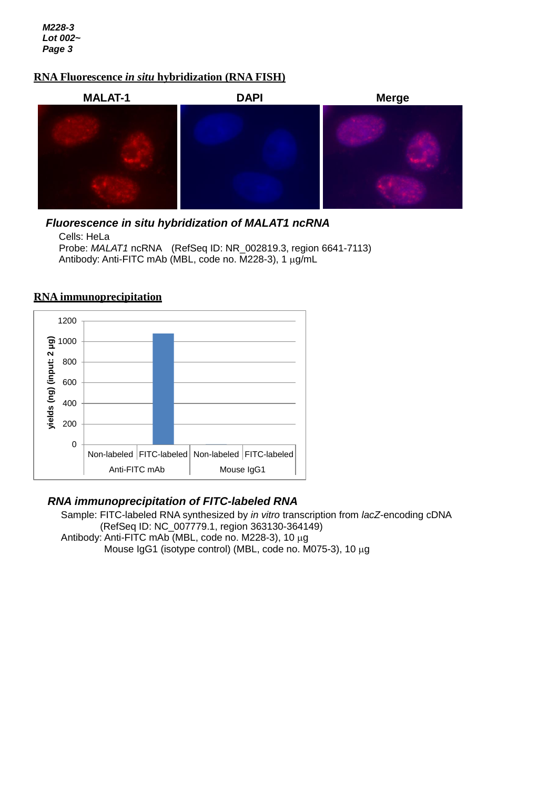# *g* **RNA Fluorescence** *in situ* **hybridization (RNA FISH)**



## *Fluorescence in situ hybridization of MALAT1 ncRNA*

Cells: HeLa Probe: *MALAT1* ncRNA (RefSeq ID: NR\_002819.3, region 6641-7113) Antibody: Anti-FITC mAb (MBL, code no. M228-3), 1 µg/mL



### **RNA immunoprecipitation**

### *RNA immunoprecipitation of FITC-labeled RNA*

Sample: FITC-labeled RNA synthesized by *in vitro* transcription from *lacZ*-encoding cDNA (RefSeq ID: NC\_007779.1, region 363130-364149) Antibody: Anti-FITC mAb (MBL, code no. M228-3), 10 μg Mouse IgG1 (isotype control) (MBL, code no. M075-3), 10  $\mu$ g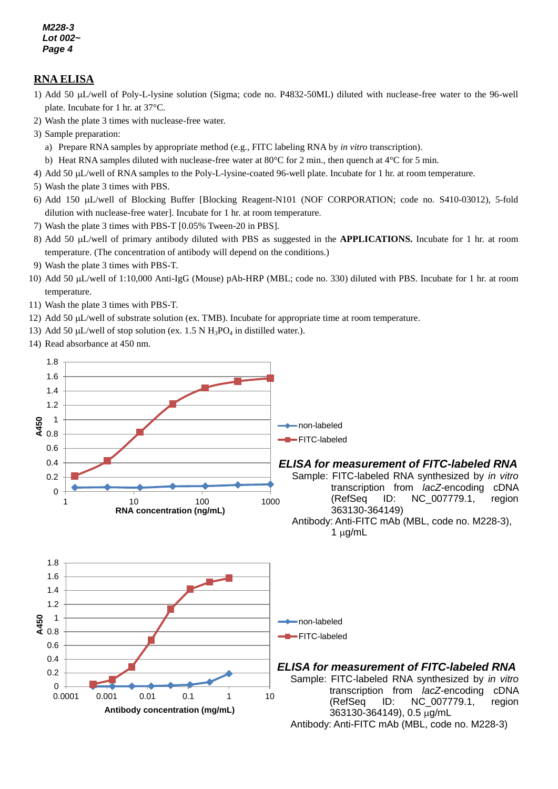#### **RNA ELISA**

- 1) Add 50 µL/well of Poly-L-lysine solution (Sigma; code no. P4832-50ML) diluted with nuclease-free water to the 96-well plate. Incubate for 1 hr. at 37°C.
- *5* 2) Wash the plate 3 times with nuclease-free water.
- 3) Sample preparation:
	- a) Prepare RNA samples by appropriate method (e.g., FITC labeling RNA by *in vitro* transcription).
- b) Heat RNA samples diluted with nuclease-free water at 80°C for 2 min., then quench at 4°C for 5 min.
- 4) Add 50 L/well of RNA samples to the Poly-L-lysine-coated 96-well plate. Incubate for 1 hr. at room temperature.
- 5) Wash the plate 3 times with PBS.
- 6) Add 150 L/well of Blocking Buffer [Blocking Reagent-N101 (NOF CORPORATION; code no. S410-03012), 5-fold dilution with nuclease-free water]. Incubate for 1 hr. at room temperature.
- 7) Wash the plate 3 times with PBS-T [0.05% Tween-20 in PBS].
- 8) Add 50 µL/well of primary antibody diluted with PBS as suggested in the **APPLICATIONS.** Incubate for 1 hr. at room temperature. (The concentration of antibody will depend on the conditions.)
- 9) Wash the plate 3 times with PBS-T.
- 10) Add 50 µL/well of 1:10,000 Anti-IgG (Mouse) pAb-HRP (MBL; code no. 330) diluted with PBS. Incubate for 1 hr. at room temperature.
- 11) Wash the plate 3 times with PBS-T.
- 12) Add 50 µL/well of substrate solution (ex. TMB). Incubate for appropriate time at room temperature.
- 13) Add 50  $\mu$ L/well of stop solution (ex. 1.5 N H<sub>3</sub>PO<sub>4</sub> in distilled water.).
- 14) Read absorbance at 450 nm.